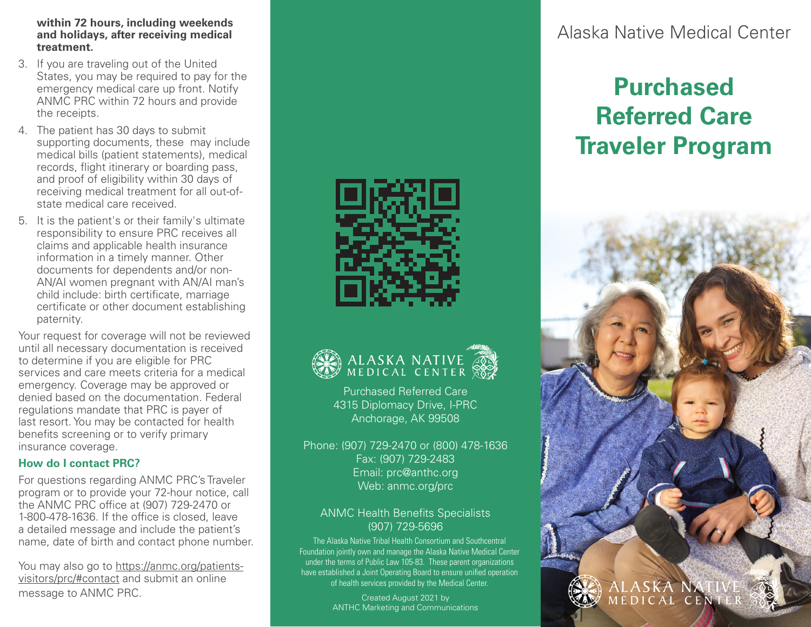#### **within 72 hours, including weekends and holidays, after receiving medical treatment.**

- 3. If you are traveling out of the United States, you may be required to pay for the emergency medical care up front. Notify ANMC PRC within 72 hours and provide the receipts.
- 4. The patient has 30 days to submit supporting documents, these may include medical bills (patient statements), medical records, flight itinerary or boarding pass, and proof of eligibility within 30 days of receiving medical treatment for all out-ofstate medical care received.
- 5. It is the patient's or their family's ultimate responsibility to ensure PRC receives all claims and applicable health insurance information in a timely manner. Other documents for dependents and/or non-AN/AI women pregnant with AN/AI man's child include: birth certificate, marriage certificate or other document establishing paternity.

Your request for coverage will not be reviewed until all necessary documentation is received to determine if you are eligible for PRC services and care meets criteria for a medical emergency. Coverage may be approved or denied based on the documentation. Federal regulations mandate that PRC is payer of last resort. You may be contacted for health benefits screening or to verify primary insurance coverage.

#### **How do I contact PRC?**

For questions regarding ANMC PRC's Traveler program or to provide your 72-hour notice, call the ANMC PRC office at (907) 729-2470 or 1-800-478-1636. If the office is closed, leave a detailed message and include the patient's name, date of birth and contact phone number.

You may also go to https://anmc.org/patientsvisitors/prc/#contact and submit an online message to ANMC PRC. The contract of the created August 2021 by the created August 2021 by





Purchased Referred Care 4315 Diplomacy Drive, I-PRC Anchorage, AK 99508

Phone: (907) 729-2470 or (800) 478-1636 Fax: (907) 729-2483 Email: prc@anthc.org Web: anmc.org/prc

## ANMC Health Benefits Specialists (907) 729-5696

The Alaska Native Tribal Health Consortium and Southcentral Foundation jointly own and manage the Alaska Native Medical Center under the terms of Public Law 105-83. These parent organizations have established a Joint Operating Board to ensure unified operation of health services provided by the Medical Center.

ANTHC Marketing and Communications

# Alaska Native Medical Center

# **Purchased Referred Care Traveler Program**